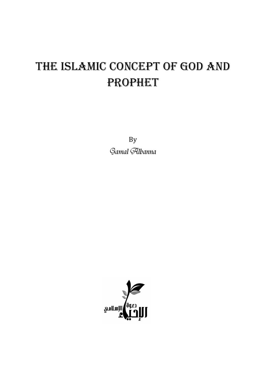## THE ISLAMIC CONCEPT OF GOD AND **PROPHET**

By Gamal Albanna

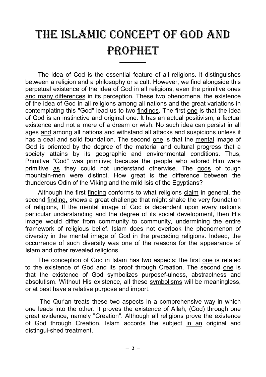## THE ISLAMIC CONCEPT OF GOD AND **PROPHET**

ــــــــــــــــــ

The idea of Cod is the essential feature of all religions. It distinguishes between a religion and a philosophy or a cult. However, we find alongside this perpetual existence of the idea of God in all religions, even the primitive ones and many differences in its perception. These two phenomena, the existence of the idea of God in all religions among all nations and the great variations in contemplating this "God" lead us to two findings. The first one is that the idea of God is an instinctive and original one. It has an actual positivism, a factual existence and not a mere of a dream or wish. No such idea can persist in all ages and among all nations and withstand all attacks and suspicions unless it has a deal and solid foundation. The second one is that the mental image of God is oriented by the degree of the material and cultural progress that a society attains by its geographic and environmental conditions. Thus, Primitive "God" was primitive; because the people who adored Him were primitive as they could not understand otherwise. The gods of tough mountain-men were distinct. How great is the difference between the thunderous Odin of the Viking and the mild Isis of the Egyptians?

Although the first finding conforms to what religions claim in general, the second finding, *shows* a great challenge that might shake the very foundation of religions, If the mental image of God is dependent upon every nation's particular understanding and the degree of its social development, then His image would differ from community to community, undermining the entire framework of religious belief. Islam does not overlook the phenomenon of diversity in the mental image of God in the preceding religions. Indeed, the occurrence of such diversity was one of the reasons for the appearance of Islam and other revealed religions.

The conception of God in Islam has two aspects; the first one is related to the existence of God and its proof through Creation. The second one is that the existence of God symbolizes purposef-ulness, abstractness and absolutism. Without His existence, all these symbolisms will be meaningless, or at best have a relative purpose and import.

 The Qur'an treats these two aspects in a comprehensive way in which one leads into the other. It proves the existence of Allah, (God) through one great evidence, namely "Creation". Although all religions prove the existence of God through Creation, Islam accords the subject in an original and distingui-shed treatment.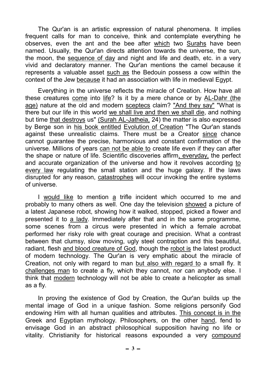The Qur'an is an artistic expression of natural phenomena. It implies frequent calls for man to conceive, think and contemplate everything he observes, even the ant and the bee after which two Surahs have been named. Usually, the Qur'an directs attention towards the universe, the sun, the moon, the sequence of day and night and life and death, etc. in a very vivid and declaratory manner. The Qur'an mentions the camel because it represents a valuable asset such as the Bedouin possess a cow within the context of the Jew because it had an association with life in medieval Egypt.

Everything in the universe reflects the miracle of Creation. How have all these creatures come into life? Is it by a mere chance or by AL-Dahr (the age) nature at the old and modern sceptecs claim? "And they say" "What is there but our life in this world we shall live and then we shall die, and nothing but time that destroys us" (Surah AL-Jatheia, 24) the matter is also expressed by Berge son in his book entitled Evolution of Creation "The Qur'an stands against these unrealistic claims. There must be a Creator since chance cannot guarantee the precise, harmonious and constant confirmation of the universe. Millions of years can not be able to create life even if they can after the shape or nature of life. Scientific discoveries affirm, everyday, the perfect and accurate organization of the universe and how it revolves according to every law regulating the small station and the huge galaxy. If the laws disrupted for any reason, catastrophes will occur invoking the entire systems of universe.

I would like to mention a trifle incident which occurred to me and probably to many others as well. One day the television showed a picture of a latest Japanese robot, showing how it walked, stopped, picked a flower and presented it to a lady. Immediately after that and in the same programme, some scenes from a circus were presented in which a female acrobat performed her risky role with great courage and precision. What a contrast between that clumsy, slow moving, ugly steel contraption and this beautiful, radiant, flesh and blood creature of God, though the robot is the latest product of modern technology. The Qur'an is very emphatic about the miracle of Creation, not only with regard to man but also with regard to a small fly. It challenges man to create a fly, which they cannot, nor can anybody else. I think that modern technology will not be able to create a helicopter as small as a fly.

In proving the existence of God by Creation, the Qur'an builds up the mental image of God in a unique fashion. Some religions personify God endowing Him with all human qualities and attributes. This concept is in the Greek and Egyptian mythology. Philosophers, on the other hand, fend to envisage God in an abstract philosophical supposition having no life or vitality. Christianity for historical reasons expounded a very compound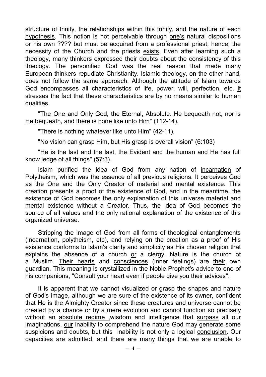structure of trinity, the relationships within this trinity, and the nature of each hypothesis. This notion is not perceivable through one's natural dispositions or his own ???? but must be acquired from a professional priest, hence, the necessity of the Church and the priests exists. Even after learning such a theology, many thinkers expressed their doubts about the consistency of this theology. The personified God was the real reason that made many European thinkers repudiate Christianity. Islamic theology, on the other hand, does not follow the same approach. Although the attitude of Islam towards God encompasses all characteristics of life, power, will, perfection, etc. It stresses the fact that these characteristics are by no means similar to human qualities.

"The One and Only God, the Eternal, Absolute. He bequeath not, nor is He bequeath, and there is none like unto Him" (112-14).

"There is nothing whatever like unto Him" (42-11).

"No vision can grasp Him, but His grasp is overall vision" (6:103)

"He is the last and the last, the Evident and the human and He has full know ledge of all things" (57:3).

Islam purified the idea of God from any nation of incarnation of Polytheism, which was the essence of all previous religions. It perceives God as the One and the Only Creator of material and mental existence. This creation presents a proof of the existence of God, and in the meantime, the existence of God becomes the only explanation of this universe material and mental existence without a Creator. Thus, the idea of God becomes the source of all values and the only rational explanation of the existence of this organized universe.

Stripping the image of God from all forms of theological entanglements (incarnation, polytheism, etc), and relying on the creation as a proof of His existence conforms to Islam's clarity and simplicity as His chosen religion that explains the absence of a church or a clergy. Nature is the church of a Muslim. Their hearts and consciences (inner feelings) are their own guardian. This meaning is crystallized in the Noble Prophet's advice to one of his companions, "Consult your heart even if people give you their advices".

It is apparent that we cannot visualized or grasp the shapes and nature of God's image, although we are sure of the existence of its owner, confident that He is the Almighty Creator since these creatures and universe cannot be created by a chance or by a mere evolution and cannot function so precisely without an absolute regime ,wisdom and intelligence that surpass all our imaginations, our inability to comprehend the nature God may generate some suspicions and doubts, but this inability is not only a logical conclusion. Our capacities are admitted, and there are many things that we are unable to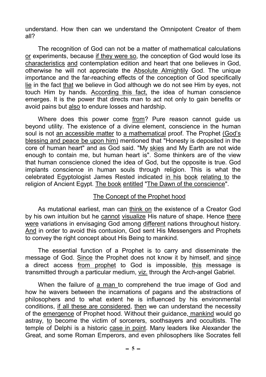understand. How then can we understand the Omnipotent Creator of them all?

The recognition of God can not be a matter of mathematical calculations or experiments, because if they were so, the conception of God would lose its characteristics and contemplation edition and heart that one believes in God, otherwise he will not appreciate the Absolute Almightily God. The unique importance and the far-reaching effects of the conception of God specifically lie in the fact that we believe in God although we do not see Him by eyes, not touch Him by hands. According this fact, the idea of human conscience emerges. It is the power that directs man to act not only to gain benefits or avoid pains but also to endure losses and hardship.

Where does this power come from? Pure reason cannot guide us beyond utility. The existence of a divine element, conscience in the human soul is not an accessible matter to a mathematical proof. The Prophet (God's blessing and peace be upon him) mentioned that "Honesty is deposited in the core of human heart" and as God said. "My skies and My Earth are not wide enough to contain me, but human heart is". Some thinkers are of the view that human conscience cloned the idea of God, but the opposite is true. God implants conscience in human souls through religion. This is what the celebrated Egyptologist James Rested indicated in his book relating to the religion of Ancient Egypt. The book entitled "The Dawn of the conscience".

## The Concept of the Prophet hood

As mutational earliest, man can think on the existence of a Creator God by his own intuition but he cannot visualize His nature of shape. Hence there were variations in envisaging God among different nations throughout history. And in order to avoid this contusion, God sent His Messengers and Prophets to convey the right concept about His Being to mankind.

The essential function of a Prophet is to carry and disseminate the message of God. Since the Prophet does not know it by himself, and since a direct access from prophet to God is impossible, this message is transmitted through a particular medium, viz. through the Arch-angel Gabriel.

When the failure of a man to comprehend the true image of God and how he wavers between the incarnations of pagans and the abstractions of philosophers and to what extent he is influenced by his environmental conditions, if all these are considered, then we can understand the necessity of the emergence of Prophet hood. Without their guidance, mankind would go astray, to become the victim of sorcerers, soothsayers and occultists. The temple of Delphi is a historic case in point. Many leaders like Alexander the Great, and some Roman Emperors, and even philosophers like Socrates fell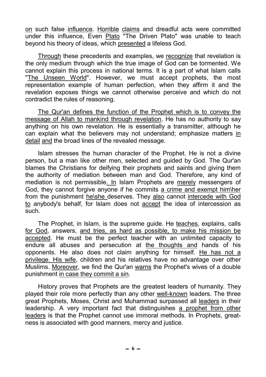on such false influence. Horrible claims and dreadful acts were committed under this influence, Even Plato "The Driven Plato" was unable to teach beyond his theory of ideas, which presented a lifeless God.

Through these precedents and examples, we recognize that revelation is the only medium through which the true image of God can be tormented. We cannot explain this process in national terms. It is a part of what Islam calls "The Unseen World". However, we must accept prophets, the most representation example of human perfection, when they affirm it and the revelation exposes things we cannot otherwise perceive and which do not contradict the rules of reasoning.

The Qur'an defines the function of the Prophet which is to convey the message of Allah to mankind through revelation. He has no authority to say anything on his own revelation. He is essentially a transmitter, although he can explain what the believers may not understand; emphasize matters in detail and the broad lines of the revealed message.

Islam stresses the human character of the Prophet. He is not a divine person, but a man like other men, selected and guided by God. The Qur'an blames the Christians for deifying their prophets and saints and giving them the authority of mediation between man and God. Therefore, any kind of mediation is not permissible. In Islam Prophets are merely messengers of God, they cannot forgive anyone if he commits a crime and exempt him\her from the punishment he\she deserves. They also cannot intercede with God to anybody's behalf, for Islam does not accept the idea of intercession as such.

The Prophet, in Islam, is the supreme guide. He teaches, explains, calls for God, answers, and tries, as hard as possible, to make his mission be accepted. He must be the perfect teacher with an unlimited capacity to endure all abuses and persecution at the thoughts and hands of his opponents. He also does not claim anything for himself. He has not a privilege. His wife, children and his relatives have no advantage over other Muslims. Moreover, we find the Qur'an warns the Prophet's wives of a double punishment in case they commit a sin.

History proves that Prophets are the greatest leaders of humanity. They played their role more perfectly than any other well-known leaders. The three great Prophets, Moses, Christ and Muhammad surpassed all leaders in their leadership. A very important fact that distinguishes a prophet from other leaders is that the Prophet cannot use immoral methods. In Prophets, greatness is associated with good manners, mercy and justice.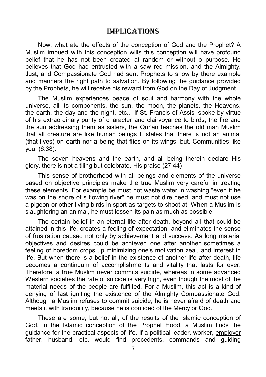## ImplIcaTIons

Now, what ate the effects of the conception of God and the Prophet? A Muslim imbued with this conception wills this conception will have profound belief that he has not been created at random or without o purpose. He believes that God had entrusted with a saw red mission, and the Almighty, Just, and Compassionate God had sent Prophets to show by there example and manners the right path to salvation. By following the guidance provided by the Prophets, he will receive his reward from God on the Day of Judgment.

The Muslim experiences peace of soul and harmony with the whole universe, all its components, the sun, the moon, the planets, the Heavens, the earth, the day and the night, etc... If St. Francis of Assisi spoke by virtue of his extraordinary purity of character and clairvoyance to birds, the fire and the sun addressing them as sisters, the Qur'an teaches the old man Muslim that all creature are like human beings It stales that there is not an animal (that lives) on earth nor a being that flies on its wings, but. Communities like you. (6:38).

The seven heavens and the earth, and all being therein declare His glory, there is not a tiling but celebrate. His praise (27:44)

This sense of brotherhood with all beings and elements of the universe based on objective principles make the true Muslim very careful in treating these elements. For example be must not waste water in washing "even if he was on the shore of s flowing river" he must not dire need, and must not use a pigeon or other living birds in sport as targets to shoot at. When a Muslim is slaughtering an animal, he must lessen its pain as much as possible.

The certain belief in an eternal life after death, beyond all that could be attained in this life, creates a feeling of expectation, and eliminates the sense of frustration caused not only by achievement and success. As long material objectives and desires could be achieved one after another sometimes a feeling of boredom crops up minimizing one's motivation zeal, and interest in life. But when there is a belief in the existence of another life after death, life becomes a continuum of accomplishments and vitality that lasts for ever. Therefore, a true Muslim never commits suicide, whereas in some advanced Western societies the rate of suicide is very high, even though the most of the material needs of the people are fulfilled. For a Muslim, this act is a kind of denying of last igniting the existence of the Almighty Compassionate God. Although a Muslim refuses to commit suicide, he is never afraid of death and meets it with tranquility, because he is confided of the Mercy or God.

These are some, but not all, of the results of the Islamic conception of God. In the Islamic conception of the Prophet Hood, a Muslim finds the guidance for the practical aspects of life. If a political leader, worker, employer father, husband, etc, would find precedents, commands and guiding